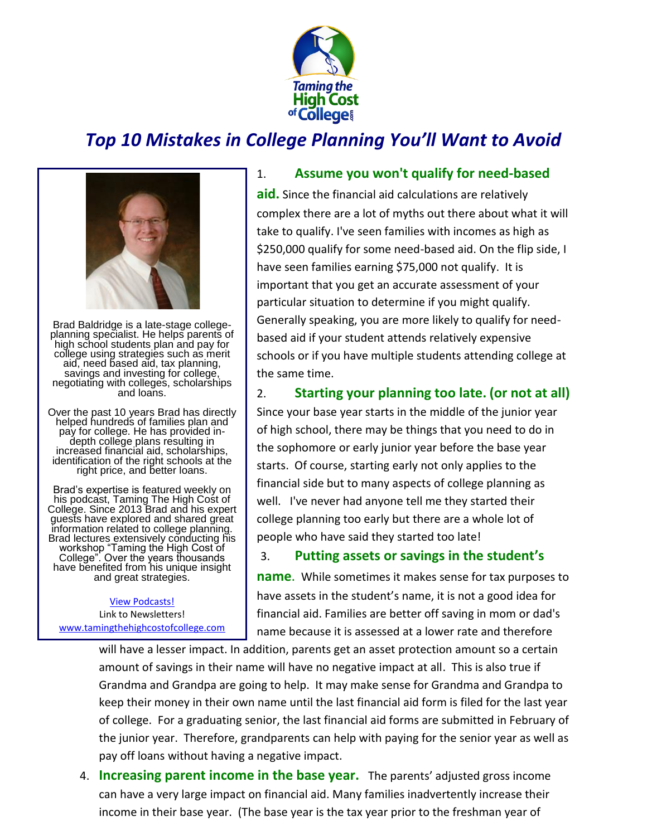

## *Top 10 Mistakes in College Planning You'll Want to Avoid*



Brad Baldridge is a late-stage collegeplanning specialist. He helps parents of high school students plan and pay for college using strategies such as merit aid, need based aid, tax planning, savings and investing for college, negotiating with colleges, scholarships and loans.

Over the past 10 years Brad has directly helped hundreds of families plan and pay for college. He has provided indepth college plans resulting in increased financial aid, scholarships, identification of the right schools at the right price, and better loans.

Brad's expertise is featured weekly on his podcast, Taming The High Cost of College. Since 2013 Brad and his expert guests have explored and shared great information related to college planning. Brad lectures extensively conducting his workshop "Taming the High Cost of College". Over the years thousands have benefited from his unique insight and great strategies.

[View Podcasts!](http://www.tamingthehighcostofcollege.com/category/podcast/) Link to Newsletters! [www.tamingthehighcostofcollege.com](http://www.tamingthehighcostofcollege.com/)

## 1. **Assume you won't qualify for need-based**

**aid.** Since the financial aid calculations are relatively complex there are a lot of myths out there about what it will take to qualify. I've seen families with incomes as high as \$250,000 qualify for some need-based aid. On the flip side, I have seen families earning \$75,000 not qualify. It is important that you get an accurate assessment of your particular situation to determine if you might qualify. Generally speaking, you are more likely to qualify for needbased aid if your student attends relatively expensive schools or if you have multiple students attending college at the same time.

## 2. **Starting your planning too late. (or not at all)**

Since your base year starts in the middle of the junior year of high school, there may be things that you need to do in the sophomore or early junior year before the base year starts. Of course, starting early not only applies to the financial side but to many aspects of college planning as well. I've never had anyone tell me they started their college planning too early but there are a whole lot of people who have said they started too late!

## 3. **Putting assets or savings in the student's**

**name**. While sometimes it makes sense for tax purposes to have assets in the student's name, it is not a good idea for financial aid. Families are better off saving in mom or dad's name because it is assessed at a lower rate and therefore

will have a lesser impact. In addition, parents get an asset protection amount so a certain amount of savings in their name will have no negative impact at all. This is also true if Grandma and Grandpa are going to help. It may make sense for Grandma and Grandpa to keep their money in their own name until the last financial aid form is filed for the last year of college. For a graduating senior, the last financial aid forms are submitted in February of the junior year. Therefore, grandparents can help with paying for the senior year as well as pay off loans without having a negative impact.

4. **Increasing parent income in the base year.** The parents' adjusted gross income can have a very large impact on financial aid. Many families inadvertently increase their income in their base year. (The base year is the tax year prior to the freshman year of